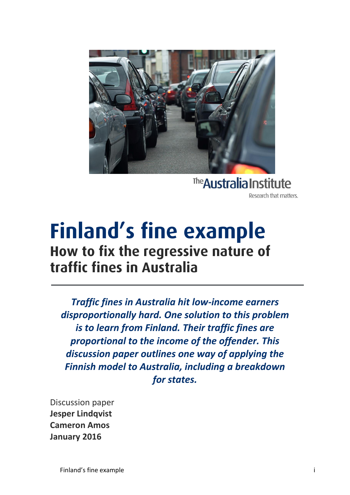

The Australia Institute Research that matters.

## **Finland's fine example**<br>How to fix the regressive nature of **traffic fines in Australia traffic fines in Australia**

*Traffic fines in Australia hit low-income earners disproportionally hard. One solution to this problem is to learn from Finland. Their traffic fines are proportional to the income of the offender. This discussion paper outlines one way of applying the Finnish model to Australia, including a breakdown for states.*

Discussion paper **Jesper Lindqvist Cameron Amos January 2016**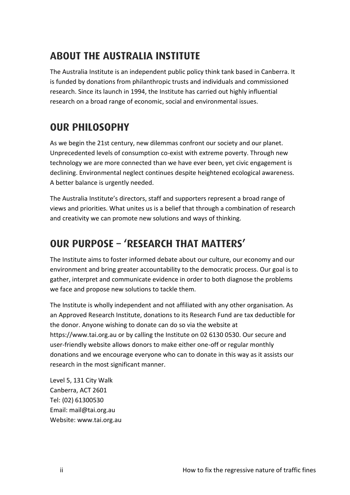## **ABOUT THE AUSTRALIA INSTITUTE ABOUT THE AUSTRALIA INSTITUTE**

The Australia Institute is an independent public policy think tank based in Canberra. It is funded by donations from philanthropic trusts and individuals and commissioned research. Since its launch in 1994, the Institute has carried out highly influential research on a broad range of economic, social and environmental issues.

## **OUR PHILOSOPHY OUR PHILOSOPHY**

As we begin the 21st century, new dilemmas confront our society and our planet. Unprecedented levels of consumption co-exist with extreme poverty. Through new technology we are more connected than we have ever been, yet civic engagement is declining. Environmental neglect continues despite heightened ecological awareness. A better balance is urgently needed.

The Australia Institute's directors, staff and supporters represent a broad range of views and priorities. What unites us is a belief that through a combination of research and creativity we can promote new solutions and ways of thinking.

## OUR PURPOSE - 'RESEARCH THAT MATTERS'

**OUR PURPOSE – 'RESEARCH THAT MATTERS'** The Institute aims to foster informed debate about our culture, our economy and our environment and bring greater accountability to the democratic process. Our goal is to gather, interpret and communicate evidence in order to both diagnose the problems we face and propose new solutions to tackle them.

The Institute is wholly independent and not affiliated with any other organisation. As an Approved Research Institute, donations to its Research Fund are tax deductible for the donor. Anyone wishing to donate can do so via the website at https://www.tai.org.au or by calling the Institute on 02 6130 0530. Our secure and user-friendly website allows donors to make either one-off or regular monthly donations and we encourage everyone who can to donate in this way as it assists our research in the most significant manner.

Level 5, 131 City Walk Canberra, ACT 2601 Tel: (02) 61300530 Email: mail@tai.org.au Website: www.tai.org.au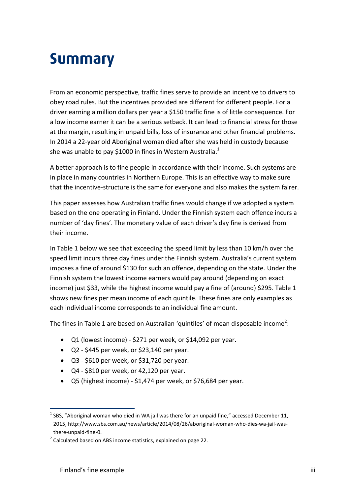# <span id="page-2-0"></span>**Summary**

From an economic perspective, traffic fines serve to provide an incentive to drivers to obey road rules. But the incentives provided are different for different people. For a driver earning a million dollars per year a \$150 traffic fine is of little consequence. For a low income earner it can be a serious setback. It can lead to financial stress for those at the margin, resulting in unpaid bills, loss of insurance and other financial problems. In 2014 a 22-year old Aboriginal woman died after she was held in custody because she was unable to pay \$1000 in fines in Western Australia.<sup>1</sup>

A better approach is to fine people in accordance with their income. Such systems are in place in many countries in Northern Europe. This is an effective way to make sure that the incentive-structure is the same for everyone and also makes the system fairer.

This paper assesses how Australian traffic fines would change if we adopted a system based on the one operating in Finland. Under the Finnish system each offence incurs a number of 'day fines'. The monetary value of each driver's day fine is derived from their income.

In Table 1 below we see that exceeding the speed limit by less than 10 km/h over the speed limit incurs three day fines under the Finnish system. Australia's current system imposes a fine of around \$130 for such an offence, depending on the state. Under the Finnish system the lowest income earners would pay around (depending on exact income) just \$33, while the highest income would pay a fine of (around) \$295. Table 1 shows new fines per mean income of each quintile. These fines are only examples as each individual income corresponds to an individual fine amount.

The fines in Table 1 are based on Australian 'quintiles' of mean disposable income<sup>2</sup>:

- Q1 (lowest income) \$271 per week, or \$14,092 per year.
- $\bullet$  Q2 \$445 per week, or \$23,140 per year.
- $\bullet$  Q3 \$610 per week, or \$31,720 per year.
- Q4 \$810 per week, or 42,120 per year.
- Q5 (highest income) \$1,474 per week, or \$76,684 per year.

<sup>1</sup>  $<sup>1</sup>$  SBS, "Aboriginal woman who died in WA jail was there for an unpaid fine," accessed December 11,</sup> 2015, http://www.sbs.com.au/news/article/2014/08/26/aboriginal-woman-who-dies-wa-jail-wasthere-unpaid-fine-0.

 $2$  Calculated based on ABS income statistics, explained on page 22.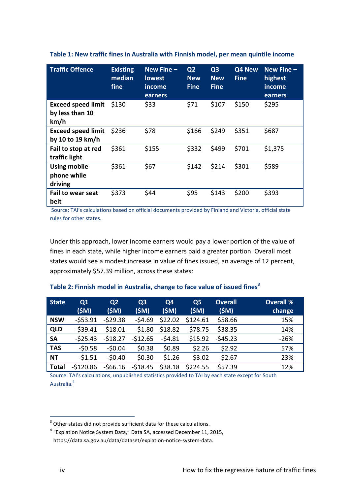| <b>Traffic Offence</b>                               | <b>Existing</b><br>median<br>fine | New Fine -<br><b>lowest</b><br>income<br>earners | Q <sub>2</sub><br><b>New</b><br><b>Fine</b> | Q <sub>3</sub><br><b>New</b><br><b>Fine</b> | Q4 New<br><b>Fine</b> | New Fine -<br>highest<br>income<br>earners |
|------------------------------------------------------|-----------------------------------|--------------------------------------------------|---------------------------------------------|---------------------------------------------|-----------------------|--------------------------------------------|
| <b>Exceed speed limit</b><br>by less than 10<br>km/h | \$130                             | \$33                                             | \$71                                        | \$107                                       | \$150                 | \$295                                      |
| <b>Exceed speed limit</b><br>by 10 to 19 km/h        | \$236                             | \$78                                             | \$166                                       | \$249                                       | \$351                 | \$687                                      |
| Fail to stop at red<br>traffic light                 | \$361                             | \$155                                            | \$332                                       | \$499                                       | \$701                 | \$1,375                                    |
| <b>Using mobile</b><br>phone while<br>driving        | \$361                             | \$67                                             | \$142                                       | \$214                                       | \$301                 | \$589                                      |
| <b>Fail to wear seat</b><br>belt                     | \$373                             | \$44                                             | \$95                                        | \$143                                       | \$200                 | \$393                                      |

**Table 1: New traffic fines in Australia with Finnish model, per mean quintile income**

Source: TAI's calculations based on official documents provided by Finland and Victoria, official state rules for other states.

Under this approach, lower income earners would pay a lower portion of the value of fines in each state, while higher income earners paid a greater portion. Overall most states would see a modest increase in value of fines issued, an average of 12 percent, approximately \$57.39 million, across these states:

| State        | Q1<br>(\$M) | Q <sub>2</sub><br>(SM) | Q <sub>3</sub><br>(SM) | Q4<br>(\$M) | Q <sub>5</sub><br>(\$M) | <b>Overall</b><br>(SM) | <b>Overall %</b><br>change |
|--------------|-------------|------------------------|------------------------|-------------|-------------------------|------------------------|----------------------------|
| <b>NSW</b>   | $-553.91$   | $-529.38$              | $-54.69$               | \$22.02     | \$124.61                | \$58.66                | 15%                        |
| <b>QLD</b>   | $-539.41$   | $-518.01$              | $-51.80$               | \$18.82     | \$78.75                 | \$38.35                | 14%                        |
| <b>SA</b>    | $-525.43$   | $-518.27$              | $-512.65$              | $-54.81$    | \$15.92                 | $-545.23$              | $-26%$                     |
| <b>TAS</b>   | $-50.58$    | $-50.04$               | \$0.38                 | \$0.89      | \$2.26                  | \$2.92                 | 57%                        |
| <b>NT</b>    | $-51.51$    | $-50.40$               | \$0.30                 | \$1.26      | \$3.02                  | \$2.67                 | 23%                        |
| <b>Total</b> | $-5120.86$  | $-566.16$              | $-518.45$              | \$38.18     | \$224.55                | \$57.39                | 12%                        |

#### **Table 2: Finnish model in Australia, change to face value of issued fines<sup>3</sup>**

Source: TAI's calculations, unpublished statistics provided to TAI by each state except for South Australia.<sup>4</sup>

 3 Other states did not provide sufficient data for these calculations.

<sup>&</sup>lt;sup>4</sup> "Expiation Notice System Data," Data SA, accessed December 11, 2015, https://data.sa.gov.au/data/dataset/expiation-notice-system-data.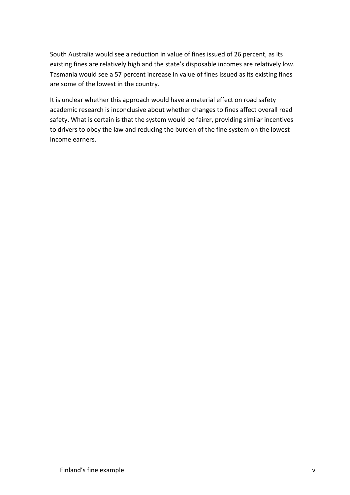South Australia would see a reduction in value of fines issued of 26 percent, as its existing fines are relatively high and the state's disposable incomes are relatively low. Tasmania would see a 57 percent increase in value of fines issued as its existing fines are some of the lowest in the country.

It is unclear whether this approach would have a material effect on road safety – academic research is inconclusive about whether changes to fines affect overall road safety. What is certain is that the system would be fairer, providing similar incentives to drivers to obey the law and reducing the burden of the fine system on the lowest income earners.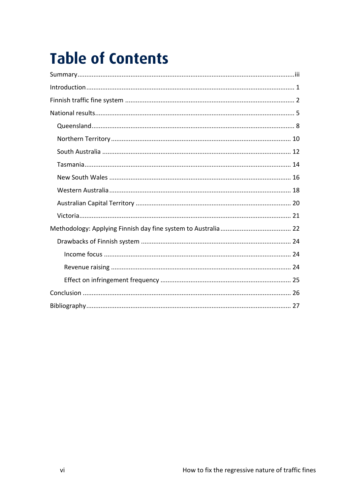## **Table of Contents**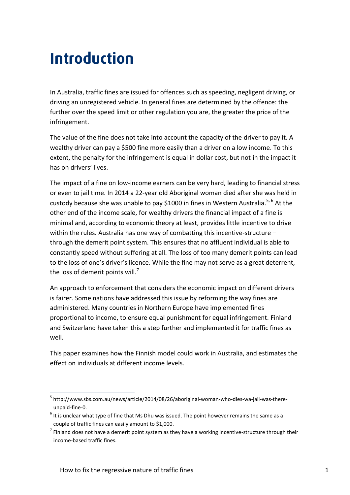## <span id="page-6-0"></span>**Introduction Introduction**

In Australia, traffic fines are issued for offences such as speeding, negligent driving, or driving an unregistered vehicle. In general fines are determined by the offence: the further over the speed limit or other regulation you are, the greater the price of the infringement.

The value of the fine does not take into account the capacity of the driver to pay it. A wealthy driver can pay a \$500 fine more easily than a driver on a low income. To this extent, the penalty for the infringement is equal in dollar cost, but not in the impact it has on drivers' lives.

The impact of a fine on low-income earners can be very hard, leading to financial stress or even to jail time. In 2014 a 22-year old Aboriginal woman died after she was held in custody because she was unable to pay \$1000 in fines in Western Australia.<sup>5, 6</sup> At the other end of the income scale, for wealthy drivers the financial impact of a fine is minimal and, according to economic theory at least, provides little incentive to drive within the rules. Australia has one way of combatting this incentive-structure – through the demerit point system. This ensures that no affluent individual is able to constantly speed without suffering at all. The loss of too many demerit points can lead to the loss of one's driver's licence. While the fine may not serve as a great deterrent, the loss of demerit points will.<sup>7</sup>

An approach to enforcement that considers the economic impact on different drivers is fairer. Some nations have addressed this issue by reforming the way fines are administered. Many countries in Northern Europe have implemented fines proportional to income, to ensure equal punishment for equal infringement. Finland and Switzerland have taken this a step further and implemented it for traffic fines as well.

This paper examines how the Finnish model could work in Australia, and estimates the effect on individuals at different income levels.

<sup>&</sup>lt;sup>5</sup> http://www.sbs.com.au/news/article/2014/08/26/aboriginal-woman-who-dies-wa-jail-was-thereunpaid-fine-0.

 $<sup>6</sup>$  It is unclear what type of fine that Ms Dhu was issued. The point however remains the same as a</sup> couple of traffic fines can easily amount to \$1,000.

 $<sup>7</sup>$  Finland does not have a demerit point system as they have a working incentive-structure through their</sup> income-based traffic fines.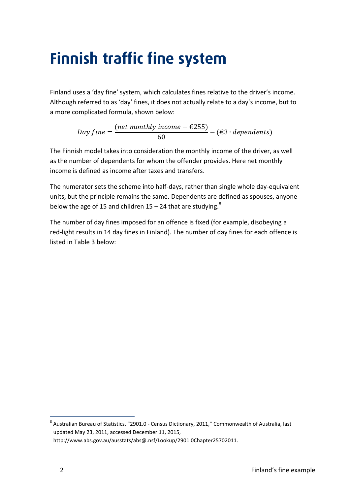## <span id="page-7-0"></span>**Finnish traffic fine system**

Finland uses a 'day fine' system, which calculates fines relative to the driver's income. Although referred to as 'day' fines, it does not actually relate to a day's income, but to a more complicated formula, shown below:

> Day  $fine =$ (net monthly income  $-$  €255)  $\frac{1}{60}$  – (€3 · dependents)

The Finnish model takes into consideration the monthly income of the driver, as well as the number of dependents for whom the offender provides. Here net monthly income is defined as income after taxes and transfers.

The numerator sets the scheme into half-days, rather than single whole day-equivalent units, but the principle remains the same. Dependents are defined as spouses, anyone below the age of 15 and children  $15 - 24$  that are studying.<sup>8</sup>

The number of day fines imposed for an offence is fixed (for example, disobeying a red-light results in 14 day fines in Finland). The number of day fines for each offence is listed in Table 3 below:

<sup>&</sup>lt;sup>8</sup> Australian Bureau of Statistics, "2901.0 - Census Dictionary, 2011," Commonwealth of Australia, last updated May 23, 2011, accessed December 11, 2015, http://www.abs.gov.au/ausstats/abs@.nsf/Lookup/2901.0Chapter25702011.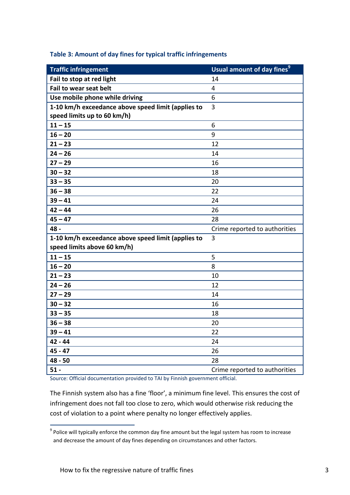| <b>Traffic infringement</b>                        | Usual amount of day fines <sup>9</sup> |
|----------------------------------------------------|----------------------------------------|
| Fail to stop at red light                          | 14                                     |
| Fail to wear seat belt                             | 4                                      |
| Use mobile phone while driving                     | 6                                      |
| 1-10 km/h exceedance above speed limit (applies to | 3                                      |
| speed limits up to 60 km/h)                        |                                        |
| $11 - 15$                                          | 6                                      |
| $16 - 20$                                          | 9                                      |
| $21 - 23$                                          | 12                                     |
| $24 - 26$                                          | 14                                     |
| $27 - 29$                                          | 16                                     |
| $30 - 32$                                          | 18                                     |
| $33 - 35$                                          | 20                                     |
| $36 - 38$                                          | 22                                     |
| $39 - 41$                                          | 24                                     |
| $42 - 44$                                          | 26                                     |
| $45 - 47$                                          | 28                                     |
| 48 -                                               | Crime reported to authorities          |
| 1-10 km/h exceedance above speed limit (applies to | 3                                      |
| speed limits above 60 km/h)                        |                                        |
| $11 - 15$                                          | 5                                      |
| $16 - 20$                                          | 8                                      |
| $21 - 23$                                          | 10                                     |
| $24 - 26$                                          | 12                                     |
| $27 - 29$                                          | 14                                     |
| $30 - 32$                                          | 16                                     |
| $33 - 35$                                          | 18                                     |
| $36 - 38$                                          | 20                                     |
| $39 - 41$                                          | 22                                     |
| 42 - 44                                            | 24                                     |
| $45 - 47$                                          | 26                                     |
| $48 - 50$                                          | 28                                     |
| $51 -$                                             | Crime reported to authorities          |

#### **Table 3: Amount of day fines for typical traffic infringements**

Source: Official documentation provided to TAI by Finnish government official.

The Finnish system also has a fine 'floor', a minimum fine level. This ensures the cost of infringement does not fall too close to zero, which would otherwise risk reducing the cost of violation to a point where penalty no longer effectively applies.

 9 Police will typically enforce the common day fine amount but the legal system has room to increase and decrease the amount of day fines depending on circumstances and other factors.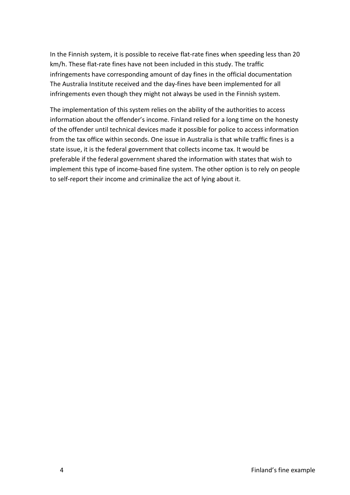In the Finnish system, it is possible to receive flat-rate fines when speeding less than 20 km/h. These flat-rate fines have not been included in this study. The traffic infringements have corresponding amount of day fines in the official documentation The Australia Institute received and the day-fines have been implemented for all infringements even though they might not always be used in the Finnish system.

The implementation of this system relies on the ability of the authorities to access information about the offender's income. Finland relied for a long time on the honesty of the offender until technical devices made it possible for police to access information from the tax office within seconds. One issue in Australia is that while traffic fines is a state issue, it is the federal government that collects income tax. It would be preferable if the federal government shared the information with states that wish to implement this type of income-based fine system. The other option is to rely on people to self-report their income and criminalize the act of lying about it.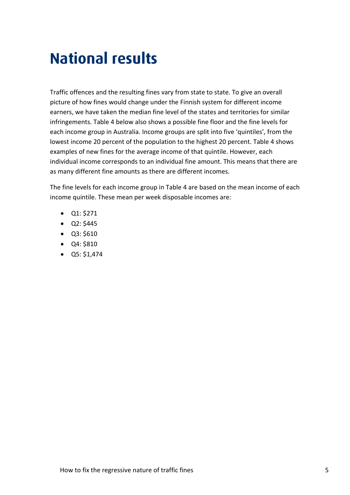## <span id="page-10-0"></span>**National results National results**

Traffic offences and the resulting fines vary from state to state. To give an overall picture of how fines would change under the Finnish system for different income earners, we have taken the median fine level of the states and territories for similar infringements. Table 4 below also shows a possible fine floor and the fine levels for each income group in Australia. Income groups are split into five 'quintiles', from the lowest income 20 percent of the population to the highest 20 percent. Table 4 shows examples of new fines for the average income of that quintile. However, each individual income corresponds to an individual fine amount. This means that there are as many different fine amounts as there are different incomes.

The fine levels for each income group in Table 4 are based on the mean income of each income quintile. These mean per week disposable incomes are:

- $\bullet$  Q1: \$271
- $\bullet$  Q2: \$445
- Q3: \$610
- Q4: \$810
- $\bullet$  Q5: \$1,474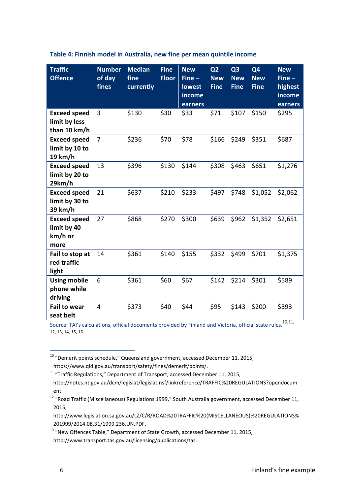| <b>Traffic</b><br><b>Offence</b>                      | <b>Number</b><br>of day<br>fines | <b>Median</b><br>fine<br>currently | <b>Fine</b><br><b>Floor</b> | <b>New</b><br>$Fine -$<br>lowest<br>income<br>earners | Q <sub>2</sub><br><b>New</b><br><b>Fine</b> | Q3<br><b>New</b><br><b>Fine</b> | Q <sub>4</sub><br><b>New</b><br><b>Fine</b> | <b>New</b><br>$Fine -$<br>highest<br>income<br>earners |
|-------------------------------------------------------|----------------------------------|------------------------------------|-----------------------------|-------------------------------------------------------|---------------------------------------------|---------------------------------|---------------------------------------------|--------------------------------------------------------|
| <b>Exceed speed</b><br>limit by less<br>than 10 km/h  | 3                                | \$130                              | \$30                        | \$33                                                  | \$71                                        | \$107                           | \$150                                       | \$295                                                  |
| <b>Exceed speed</b><br>limit by 10 to<br>19 km/h      | 7                                | \$236                              | \$70                        | \$78                                                  | \$166                                       | \$249                           | \$351                                       | \$687                                                  |
| <b>Exceed speed</b><br>limit by 20 to<br>29km/h       | 13                               | \$396                              | \$130                       | \$144                                                 | \$308                                       | \$463                           | \$651                                       | \$1,276                                                |
| <b>Exceed speed</b><br>limit by 30 to<br>39 km/h      | 21                               | \$637                              | \$210                       | \$233                                                 | \$497                                       | \$748                           | \$1,052                                     | \$2,062                                                |
| <b>Exceed speed</b><br>limit by 40<br>km/h or<br>more | 27                               | \$868                              | \$270                       | \$300                                                 | \$639                                       | \$962                           | \$1,352                                     | \$2,651                                                |
| Fail to stop at<br>red traffic<br>light               | 14                               | \$361                              | \$140                       | \$155                                                 | \$332                                       | \$499                           | \$701                                       | \$1,375                                                |
| <b>Using mobile</b><br>phone while<br>driving         | 6                                | \$361                              | \$60                        | \$67                                                  | \$142                                       | \$214                           | \$301                                       | \$589                                                  |
| <b>Fail to wear</b><br>seat belt                      | 4                                | \$373                              | \$40                        | \$44                                                  | \$95                                        | \$143                           | \$200                                       | \$393                                                  |

#### **Table 4: Finnish model in Australia, new fine per mean quintile income**

Source: TAI's calculations, official documents provided by Finland and Victoria, official state rules.<sup>10,11,</sup> 12, 13, 14, 15, 16

 $^{10}$  "Demerit points schedule," Queensland government, accessed December 11, 2015,

https://www.qld.gov.au/transport/safety/fines/demerit/points/.

<sup>&</sup>lt;sup>11</sup> "Traffic Regulations," Department of Transport, accessed December 11, 2015,

http://notes.nt.gov.au/dcm/legislat/legislat.nsf/linkreference/TRAFFIC%20REGULATIONS?opendocum ent.

<sup>12</sup> "Road Traffic (Miscellaneous) Regulations 1999," South Australia government, accessed December 11, 2015,

http://www.legislation.sa.gov.au/LZ/C/R/ROAD%20TRAFFIC%20(MISCELLANEOUS)%20REGULATIONS% 201999/2014.08.31/1999.236.UN.PDF.

<sup>&</sup>lt;sup>13</sup> "New Offences Table," Department of State Growth, accessed December 11, 2015, http://www.transport.tas.gov.au/licensing/publications/tas.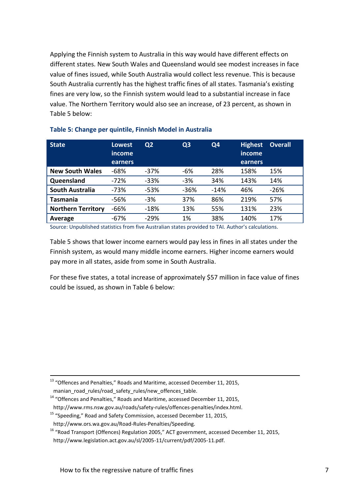Applying the Finnish system to Australia in this way would have different effects on different states. New South Wales and Queensland would see modest increases in face value of fines issued, while South Australia would collect less revenue. This is because South Australia currently has the highest traffic fines of all states. Tasmania's existing fines are very low, so the Finnish system would lead to a substantial increase in face value. The Northern Territory would also see an increase, of 23 percent, as shown in Table 5 below:

| <b>State</b>              | <b>Lowest</b><br>income<br>earners | Q <sub>2</sub> | Q <sub>3</sub> | Q <sub>4</sub> | <b>Highest</b><br>income<br>earners | <b>Overall</b> |
|---------------------------|------------------------------------|----------------|----------------|----------------|-------------------------------------|----------------|
| <b>New South Wales</b>    | $-68%$                             | $-37%$         | -6%            | 28%            | 158%                                | 15%            |
| Queensland                | $-72%$                             | $-33%$         | $-3%$          | 34%            | 143%                                | 14%            |
| <b>South Australia</b>    | $-73%$                             | $-53%$         | $-36%$         | $-14%$         | 46%                                 | $-26%$         |
| Tasmania                  | -56%                               | $-3%$          | 37%            | 86%            | 219%                                | 57%            |
| <b>Northern Territory</b> | $-66%$                             | $-18%$         | 13%            | 55%            | 131%                                | 23%            |
| Average                   | -67%                               | $-29%$         | 1%             | 38%            | 140%                                | 17%            |

#### **Table 5: Change per quintile, Finnish Model in Australia**

Source: Unpublished statistics from five Australian states provided to TAI. Author's calculations.

Table 5 shows that lower income earners would pay less in fines in all states under the Finnish system, as would many middle income earners. Higher income earners would pay more in all states, aside from some in South Australia.

For these five states, a total increase of approximately \$57 million in face value of fines could be issued, as shown in Table 6 below:

 $13$  "Offences and Penalties," Roads and Maritime, accessed December 11, 2015,

manian\_road\_rules/road\_safety\_rules/new\_offences\_table.

<u>.</u>

<sup>14</sup> "Offences and Penalties," Roads and Maritime, accessed December 11, 2015,

http://www.rms.nsw.gov.au/roads/safety-rules/offences-penalties/index.html.

<sup>&</sup>lt;sup>15</sup> "Speeding," Road and Safety Commission, accessed December 11, 2015,

http://www.ors.wa.gov.au/Road-Rules-Penalties/Speeding.

<sup>&</sup>lt;sup>16</sup> "Road Transport (Offences) Regulation 2005," ACT government, accessed December 11, 2015,

http://www.legislation.act.gov.au/sl/2005-11/current/pdf/2005-11.pdf.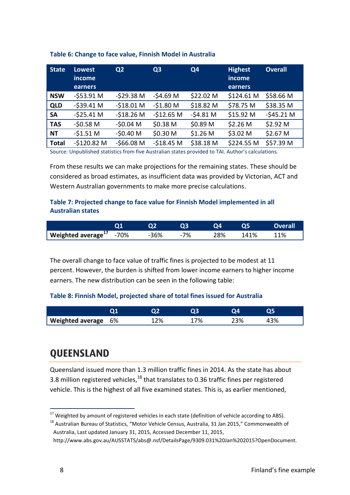| <b>State</b> | <b>Lowest</b><br>income<br>earners | Q <sub>2</sub> | Q <sub>3</sub> | Q4        | <b>Highest</b><br>income<br>earners | <b>Overall</b>      |
|--------------|------------------------------------|----------------|----------------|-----------|-------------------------------------|---------------------|
| <b>NSW</b>   | $-$ \$53.91 M                      | $-529.38$ M    | $-54.69$ M     | \$22.02 M | \$124.61 M                          | \$58.66 M           |
| <b>QLD</b>   | $-$ \$39.41 M                      | $-518.01$ M    | $-51.80M$      | \$18.82 M | \$78.75 M                           | \$38.35 M           |
| <b>SA</b>    | $-525.41 M$                        | $-518.26$ M    | $-$12.65 M$    | $-54.81M$ | \$15.92 M                           | $-545.21 M$         |
| <b>TAS</b>   | $-50.58$ M                         | $-50.04$ M     | \$0.38 M       | \$0.89 M  | \$2.26 M                            | \$2.92 M            |
| <b>NT</b>    | $-51.51M$                          | $-50.40$ M     | \$0.30 M       | $$1.26$ M | \$3.02 M                            | \$2.67 <sub>M</sub> |
| <b>Total</b> | $-5120.82$ M                       | $-$ \$66.08 M  | $-518.45$ M    | \$38.18 M | \$224.55 M                          | \$57.39 M           |

#### **Table 6: Change to face value, Finnish Model in Australia**

Source: Unpublished statistics from five Australian states provided to TAI. Author's calculations.

From these results we can make projections for the remaining states. These should be considered as broad estimates, as insufficient data was provided by Victorian, ACT and Western Australian governments to make more precise calculations.

#### **Table 7: Projected change to face value for Finnish Model implemented in all Australian states**

|                              |        |       |     |      | <b>Overall</b> |
|------------------------------|--------|-------|-----|------|----------------|
| Weighted average $17 - 70\%$ | $-36%$ | $-7%$ | 28% | 141% | 11%            |

The overall change to face value of traffic fines is projected to be modest at 11 percent. However, the burden is shifted from lower income earners to higher income earners. The new distribution can be seen in the following table:

#### **Table 8: Finnish Model, projected share of total fines issued for Australia**

| Weighted average 6% | 12% | 17% | 23% | 43% |
|---------------------|-----|-----|-----|-----|

## <span id="page-13-0"></span>**QUEENSLAND**

Queensland issued more than 1.3 million traffic fines in 2014. As the state has about 3.8 million registered vehicles,  $^{18}$  that translates to 0.36 traffic fines per registered vehicle. This is the highest of all five examined states. This is, as earlier mentioned,

 $17$  Weighted by amount of registered vehicles in each state (definition of vehicle according to ABS).

<sup>&</sup>lt;sup>18</sup> Australian Bureau of Statistics, "Motor Vehicle Census, Australia, 31 Jan 2015," Commonwealth of Australia, Last updated January 31, 2015, Accessed December 11, 2015,

http://www.abs.gov.au/AUSSTATS/abs@.nsf/DetailsPage/9309.031%20Jan%202015?OpenDocument.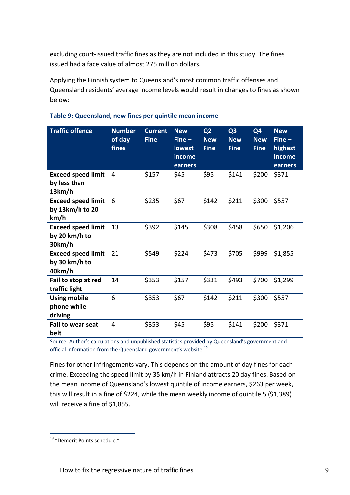excluding court-issued traffic fines as they are not included in this study. The fines issued had a face value of almost 275 million dollars.

Applying the Finnish system to Queensland's most common traffic offenses and Queensland residents' average income levels would result in changes to fines as shown below:

| <b>Traffic offence</b>                               | <b>Number</b><br>of day<br>fines | <b>Current</b><br><b>Fine</b> | <b>New</b><br>$Fine -$<br><b>lowest</b><br>income<br>earners | Q <sub>2</sub><br><b>New</b><br><b>Fine</b> | Q <sub>3</sub><br><b>New</b><br><b>Fine</b> | Q4<br><b>New</b><br><b>Fine</b> | <b>New</b><br>$Fine -$<br>highest<br>income<br>earners |
|------------------------------------------------------|----------------------------------|-------------------------------|--------------------------------------------------------------|---------------------------------------------|---------------------------------------------|---------------------------------|--------------------------------------------------------|
| <b>Exceed speed limit</b><br>by less than<br>13km/h  | 4                                | \$157                         | \$45                                                         | \$95                                        | \$141                                       | \$200                           | \$371                                                  |
| <b>Exceed speed limit</b><br>by 13km/h to 20<br>km/h | 6                                | \$235                         | \$67                                                         | \$142                                       | \$211                                       | \$300                           | \$557                                                  |
| <b>Exceed speed limit</b><br>by 20 km/h to<br>30km/h | 13                               | \$392                         | \$145                                                        | \$308                                       | \$458                                       | \$650                           | \$1,206                                                |
| <b>Exceed speed limit</b><br>by 30 km/h to<br>40km/h | 21                               | \$549                         | \$224                                                        | \$473                                       | \$705                                       | \$999                           | \$1,855                                                |
| Fail to stop at red<br>traffic light                 | 14                               | \$353                         | \$157                                                        | \$331                                       | \$493                                       | \$700                           | \$1,299                                                |
| <b>Using mobile</b><br>phone while<br>driving        | 6                                | \$353                         | \$67                                                         | \$142                                       | \$211                                       | \$300                           | \$557                                                  |
| <b>Fail to wear seat</b><br>belt                     | 4                                | \$353                         | \$45                                                         | \$95                                        | \$141                                       | \$200                           | \$371                                                  |

#### **Table 9: Queensland, new fines per quintile mean income**

Source: Author's calculations and unpublished statistics provided by Queensland's government and official information from the Queensland government's website.<sup>19</sup>

Fines for other infringements vary. This depends on the amount of day fines for each crime. Exceeding the speed limit by 35 km/h in Finland attracts 20 day fines. Based on the mean income of Queensland's lowest quintile of income earners, \$263 per week, this will result in a fine of \$224, while the mean weekly income of quintile 5 (\$1,389) will receive a fine of \$1,855.

<sup>&</sup>lt;sup>19</sup> "Demerit Points schedule."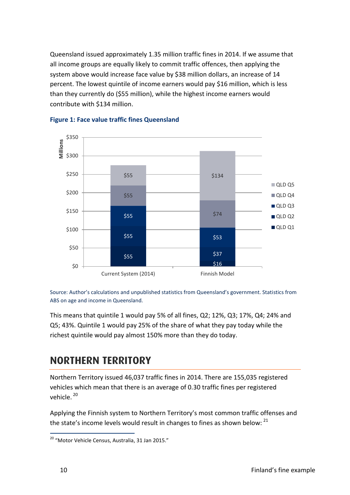Queensland issued approximately 1.35 million traffic fines in 2014. If we assume that all income groups are equally likely to commit traffic offences, then applying the system above would increase face value by \$38 million dollars, an increase of 14 percent. The lowest quintile of income earners would pay \$16 million, which is less than they currently do (\$55 million), while the highest income earners would contribute with \$134 million.



#### **Figure 1: Face value traffic fines Queensland**

Source: Author's calculations and unpublished statistics from Queensland's government. Statistics from ABS on age and income in Queensland.

This means that quintile 1 would pay 5% of all fines, Q2; 12%, Q3; 17%, Q4; 24% and Q5; 43%. Quintile 1 would pay 25% of the share of what they pay today while the richest quintile would pay almost 150% more than they do today.

### <span id="page-15-0"></span>**NORTHERN TERRITORY NORTHERN TERRITORY**

Northern Territory issued 46,037 traffic fines in 2014. There are 155,035 registered vehicles which mean that there is an average of 0.30 traffic fines per registered vehicle.<sup>20</sup>

Applying the Finnish system to Northern Territory's most common traffic offenses and the state's income levels would result in changes to fines as shown below: <sup>21</sup>

<sup>&</sup>lt;sup>20</sup> "Motor Vehicle Census, Australia, 31 Jan 2015."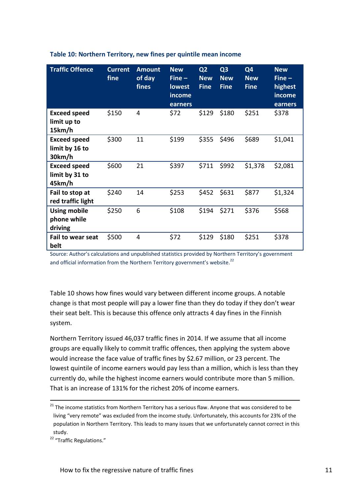| <b>Traffic Offence</b>                          | <b>Current</b><br>fine | <b>Amount</b><br>of day<br>fines | <b>New</b><br>$Fine -$<br>lowest<br>income<br>earners | Q <sub>2</sub><br><b>New</b><br><b>Fine</b> | Q <sub>3</sub><br><b>New</b><br><b>Fine</b> | Q4<br><b>New</b><br><b>Fine</b> | <b>New</b><br>$Fine -$<br>highest<br>income<br>earners |
|-------------------------------------------------|------------------------|----------------------------------|-------------------------------------------------------|---------------------------------------------|---------------------------------------------|---------------------------------|--------------------------------------------------------|
| <b>Exceed speed</b><br>limit up to<br>15km/h    | \$150                  | 4                                | \$72                                                  | \$129                                       | \$180                                       | \$251                           | \$378                                                  |
| <b>Exceed speed</b><br>limit by 16 to<br>30km/h | \$300                  | 11                               | \$199                                                 | \$355                                       | \$496                                       | \$689                           | \$1,041                                                |
| <b>Exceed speed</b><br>limit by 31 to<br>45km/h | \$600                  | 21                               | \$397                                                 | \$711                                       | \$992                                       | \$1,378                         | \$2,081                                                |
| Fail to stop at<br>red traffic light            | \$240                  | 14                               | \$253                                                 | \$452                                       | \$631                                       | \$877                           | \$1,324                                                |
| <b>Using mobile</b><br>phone while<br>driving   | \$250                  | 6                                | \$108                                                 | \$194                                       | \$271                                       | \$376                           | \$568                                                  |
| <b>Fail to wear seat</b><br>belt                | \$500                  | 4                                | \$72                                                  | \$129                                       | \$180                                       | \$251                           | \$378                                                  |

#### **Table 10: Northern Territory, new fines per quintile mean income**

Source: Author's calculations and unpublished statistics provided by Northern Territory's government and official information from the Northern Territory government's website.<sup>22</sup>

Table 10 shows how fines would vary between different income groups. A notable change is that most people will pay a lower fine than they do today if they don't wear their seat belt. This is because this offence only attracts 4 day fines in the Finnish system.

Northern Territory issued 46,037 traffic fines in 2014. If we assume that all income groups are equally likely to commit traffic offences, then applying the system above would increase the face value of traffic fines by \$2.67 million, or 23 percent. The lowest quintile of income earners would pay less than a million, which is less than they currently do, while the highest income earners would contribute more than 5 million. That is an increase of 131% for the richest 20% of income earners.

**.** 

 $21$  The income statistics from Northern Territory has a serious flaw. Anyone that was considered to be living "very remote" was excluded from the income study. Unfortunately, this accounts for 23% of the population in Northern Territory. This leads to many issues that we unfortunately cannot correct in this study.

<sup>&</sup>lt;sup>22</sup> "Traffic Regulations."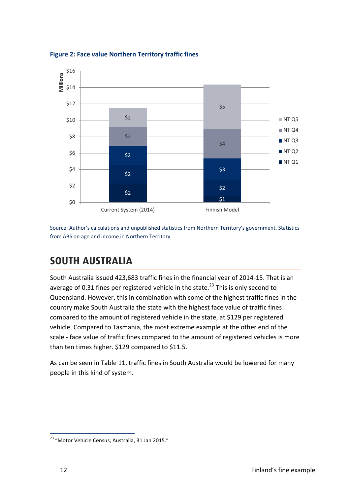

**Figure 2: Face value Northern Territory traffic fines**

Source: Author's calculations and unpublished statistics from Northern Territory's government. Statistics from ABS on age and income in Northern Territory.

### <span id="page-17-0"></span>**SOUTH AUSTRALIA SOUTH AUSTRALIA**

South Australia issued 423,683 traffic fines in the financial year of 2014-15. That is an average of 0.31 fines per registered vehicle in the state.<sup>23</sup> This is only second to Queensland. However, this in combination with some of the highest traffic fines in the country make South Australia the state with the highest face value of traffic fines compared to the amount of registered vehicle in the state, at \$129 per registered vehicle. Compared to Tasmania, the most extreme example at the other end of the scale - face value of traffic fines compared to the amount of registered vehicles is more than ten times higher. \$129 compared to \$11.5.

As can be seen in Table 11, traffic fines in South Australia would be lowered for many people in this kind of system.

<sup>&</sup>lt;sup>23</sup> "Motor Vehicle Census, Australia, 31 Jan 2015."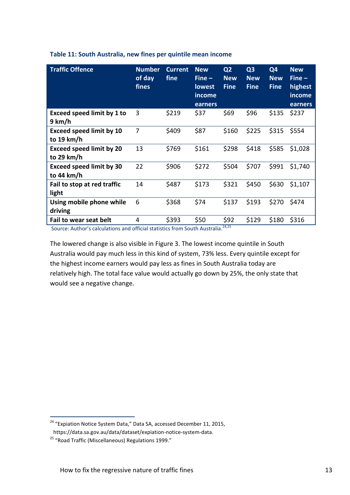| <b>Traffic Offence</b>                        | <b>Number</b><br>of day<br>fines | <b>Current</b><br>fine | <b>New</b><br>$Fine -$<br><b>lowest</b><br>income<br>earners | Q <sub>2</sub><br><b>New</b><br><b>Fine</b> | Q <sub>3</sub><br><b>New</b><br><b>Fine</b> | Q4<br><b>New</b><br><b>Fine</b> | <b>New</b><br>$Fine -$<br>highest<br>income<br>earners |
|-----------------------------------------------|----------------------------------|------------------------|--------------------------------------------------------------|---------------------------------------------|---------------------------------------------|---------------------------------|--------------------------------------------------------|
| <b>Exceed speed limit by 1 to</b><br>9 km/h   | 3                                | \$219                  | \$37                                                         | \$69                                        | \$96                                        | \$135                           | \$237                                                  |
| <b>Exceed speed limit by 10</b><br>to 19 km/h | 7                                | \$409                  | \$87                                                         | \$160                                       | \$225                                       | \$315                           | \$554                                                  |
| <b>Exceed speed limit by 20</b><br>to 29 km/h | 13                               | \$769                  | \$161                                                        | \$298                                       | \$418                                       | \$585                           | \$1,028                                                |
| <b>Exceed speed limit by 30</b><br>to 44 km/h | 22                               | \$906                  | \$272                                                        | \$504                                       | \$707                                       | \$991                           | \$1,740                                                |
| Fail to stop at red traffic<br>light          | 14                               | \$487                  | \$173                                                        | \$321                                       | \$450                                       | \$630                           | \$1,107                                                |
| Using mobile phone while<br>driving           | 6                                | \$368                  | \$74                                                         | \$137                                       | \$193                                       | \$270                           | \$474                                                  |
| Fail to wear seat belt                        | 4                                | \$393                  | \$50                                                         | \$92                                        | \$129                                       | \$180                           | \$316                                                  |

#### **Table 11: South Australia, new fines per quintile mean income**

Source: Author's calculations and official statistics from South Australia.<sup>24,25</sup>

The lowered change is also visible in Figure 3. The lowest income quintile in South Australia would pay much less in this kind of system, 73% less. Every quintile except for the highest income earners would pay less as fines in South Australia today are relatively high. The total face value would actually go down by 25%, the only state that would see a negative change.

<sup>&</sup>lt;sup>24</sup> "Expiation Notice System Data," Data SA, accessed December 11, 2015,

https://data.sa.gov.au/data/dataset/expiation-notice-system-data.

<sup>25</sup> "Road Traffic (Miscellaneous) Regulations 1999."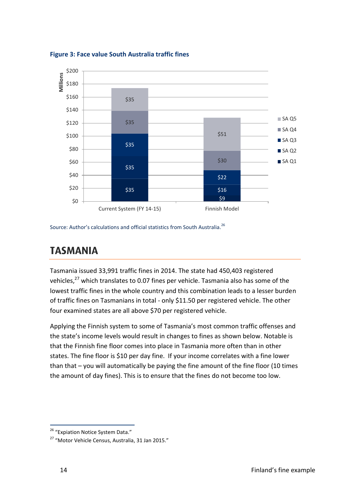

**Figure 3: Face value South Australia traffic fines**

Source: Author's calculations and official statistics from South Australia.<sup>26</sup>

### <span id="page-19-0"></span>**TASMANIA TASMANIA**

Tasmania issued 33,991 traffic fines in 2014. The state had 450,403 registered vehicles,<sup>27</sup> which translates to 0.07 fines per vehicle. Tasmania also has some of the lowest traffic fines in the whole country and this combination leads to a lesser burden of traffic fines on Tasmanians in total - only \$11.50 per registered vehicle. The other four examined states are all above \$70 per registered vehicle.

Applying the Finnish system to some of Tasmania's most common traffic offenses and the state's income levels would result in changes to fines as shown below. Notable is that the Finnish fine floor comes into place in Tasmania more often than in other states. The fine floor is \$10 per day fine. If your income correlates with a fine lower than that – you will automatically be paying the fine amount of the fine floor (10 times the amount of day fines). This is to ensure that the fines do not become too low.

<sup>&</sup>lt;sup>26</sup> "Expiation Notice System Data."

<sup>27</sup> "Motor Vehicle Census, Australia, 31 Jan 2015."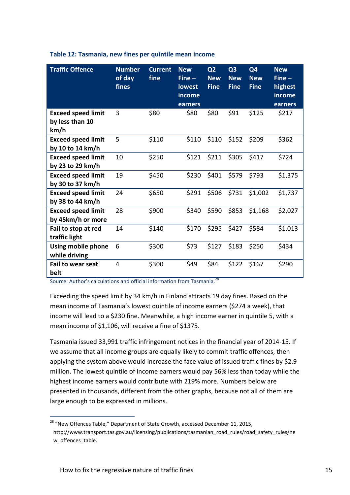| <b>Traffic Offence</b>                               | <b>Number</b><br>of day<br>fines | <b>Current</b><br>fine | <b>New</b><br>$Fine -$<br><b>lowest</b><br>income<br>earners | Q <sub>2</sub><br><b>New</b><br><b>Fine</b> | Q <sub>3</sub><br><b>New</b><br><b>Fine</b> | Q4<br><b>New</b><br><b>Fine</b> | <b>New</b><br>$Fine -$<br>highest<br>income<br>earners |
|------------------------------------------------------|----------------------------------|------------------------|--------------------------------------------------------------|---------------------------------------------|---------------------------------------------|---------------------------------|--------------------------------------------------------|
| <b>Exceed speed limit</b><br>by less than 10<br>km/h | 3                                | \$80                   | \$80                                                         | \$80                                        | \$91                                        | \$125                           | \$217                                                  |
| <b>Exceed speed limit</b><br>by 10 to 14 km/h        | 5                                | \$110                  | \$110                                                        | \$110                                       | \$152                                       | \$209                           | \$362                                                  |
| <b>Exceed speed limit</b><br>by 23 to 29 km/h        | 10                               | \$250                  | \$121                                                        | \$211                                       | \$305                                       | \$417                           | \$724                                                  |
| <b>Exceed speed limit</b><br>by 30 to 37 km/h        | 19                               | \$450                  | \$230                                                        | \$401                                       | \$579                                       | \$793                           | \$1,375                                                |
| <b>Exceed speed limit</b><br>by 38 to 44 km/h        | 24                               | \$650                  | \$291                                                        | \$506                                       | \$731                                       | \$1,002                         | \$1,737                                                |
| <b>Exceed speed limit</b><br>by 45km/h or more       | 28                               | \$900                  | \$340                                                        | \$590                                       | \$853                                       | \$1,168                         | \$2,027                                                |
| Fail to stop at red<br>traffic light                 | 14                               | \$140                  | \$170                                                        | \$295                                       | \$427                                       | \$584                           | \$1,013                                                |
| Using mobile phone<br>while driving                  | 6                                | \$300                  | \$73                                                         | \$127                                       | \$183                                       | \$250                           | \$434                                                  |
| <b>Fail to wear seat</b><br>belt                     | 4                                | \$300                  | \$49                                                         | \$84                                        | \$122                                       | \$167                           | \$290                                                  |

#### **Table 12: Tasmania, new fines per quintile mean income**

Source: Author's calculations and official information from Tasmania.<sup>28</sup>

Exceeding the speed limit by 34 km/h in Finland attracts 19 day fines. Based on the mean income of Tasmania's lowest quintile of income earners (\$274 a week), that income will lead to a \$230 fine. Meanwhile, a high income earner in quintile 5, with a mean income of \$1,106, will receive a fine of \$1375.

Tasmania issued 33,991 traffic infringement notices in the financial year of 2014-15. If we assume that all income groups are equally likely to commit traffic offences, then applying the system above would increase the face value of issued traffic fines by \$2.9 million. The lowest quintile of income earners would pay 56% less than today while the highest income earners would contribute with 219% more. Numbers below are presented in thousands, different from the other graphs, because not all of them are large enough to be expressed in millions.

 $^{28}$  "New Offences Table," Department of State Growth, accessed December 11, 2015, http://www.transport.tas.gov.au/licensing/publications/tasmanian\_road\_rules/road\_safety\_rules/ne w\_offences\_table.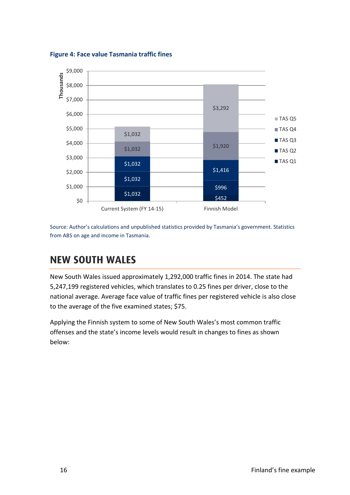

**Figure 4: Face value Tasmania traffic fines**

Source: Author's calculations and unpublished statistics provided by Tasmania's government. Statistics from ABS on age and income in Tasmania.

### <span id="page-21-0"></span>**NEW SOUTH WALES** <u>NEW SOUTH WALES AND THE WALES AND THE WALES AND THE WALES AND THE WALES AND THE WALES AND THE WALES AND THE WA</u>

New South Wales issued approximately 1,292,000 traffic fines in 2014. The state had 5,247,199 registered vehicles, which translates to 0.25 fines per driver, close to the national average. Average face value of traffic fines per registered vehicle is also close to the average of the five examined states; \$75.

Applying the Finnish system to some of New South Wales's most common traffic offenses and the state's income levels would result in changes to fines as shown below: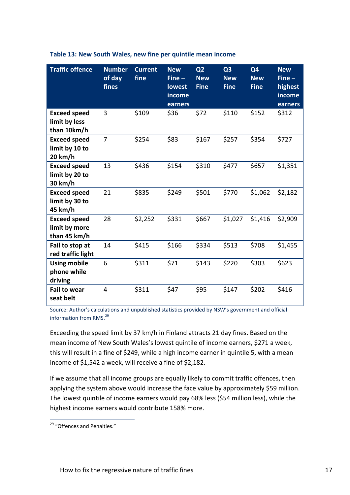| <b>Traffic offence</b>                               | <b>Number</b><br>of day<br>fines | <b>Current</b><br>fine | <b>New</b><br>$Fine -$<br><b>lowest</b><br>income<br>earners | Q <sub>2</sub><br><b>New</b><br><b>Fine</b> | Q <sub>3</sub><br><b>New</b><br><b>Fine</b> | Q <sub>4</sub><br><b>New</b><br><b>Fine</b> | <b>New</b><br>$Fine -$<br>highest<br>income<br>earners |
|------------------------------------------------------|----------------------------------|------------------------|--------------------------------------------------------------|---------------------------------------------|---------------------------------------------|---------------------------------------------|--------------------------------------------------------|
| <b>Exceed speed</b><br>limit by less<br>than 10km/h  | 3                                | \$109                  | \$36                                                         | \$72                                        | \$110                                       | \$152                                       | \$312                                                  |
| <b>Exceed speed</b><br>limit by 10 to<br>20 km/h     | $\overline{7}$                   | \$254                  | \$83                                                         | \$167                                       | \$257                                       | \$354                                       | \$727                                                  |
| <b>Exceed speed</b><br>limit by 20 to<br>30 km/h     | 13                               | \$436                  | \$154                                                        | \$310                                       | \$477                                       | \$657                                       | \$1,351                                                |
| <b>Exceed speed</b><br>limit by 30 to<br>45 km/h     | 21                               | \$835                  | \$249                                                        | \$501                                       | \$770                                       | \$1,062                                     | \$2,182                                                |
| <b>Exceed speed</b><br>limit by more<br>than 45 km/h | 28                               | \$2,252                | \$331                                                        | \$667                                       | \$1,027                                     | \$1,416                                     | \$2,909                                                |
| Fail to stop at<br>red traffic light                 | 14                               | \$415                  | \$166                                                        | \$334                                       | \$513                                       | \$708                                       | \$1,455                                                |
| <b>Using mobile</b><br>phone while<br>driving        | 6                                | \$311                  | \$71                                                         | \$143                                       | \$220                                       | \$303                                       | \$623                                                  |
| <b>Fail to wear</b><br>seat belt                     | $\overline{4}$                   | \$311                  | \$47                                                         | \$95                                        | \$147                                       | \$202                                       | \$416                                                  |

#### **Table 13: New South Wales, new fine per quintile mean income**

Source: Author's calculations and unpublished statistics provided by NSW's government and official information from RMS.<sup>29</sup>

Exceeding the speed limit by 37 km/h in Finland attracts 21 day fines. Based on the mean income of New South Wales's lowest quintile of income earners, \$271 a week, this will result in a fine of \$249, while a high income earner in quintile 5, with a mean income of \$1,542 a week, will receive a fine of \$2,182.

If we assume that all income groups are equally likely to commit traffic offences, then applying the system above would increase the face value by approximately \$59 million. The lowest quintile of income earners would pay 68% less (\$54 million less), while the highest income earners would contribute 158% more.

<sup>&</sup>lt;sup>29</sup> "Offences and Penalties."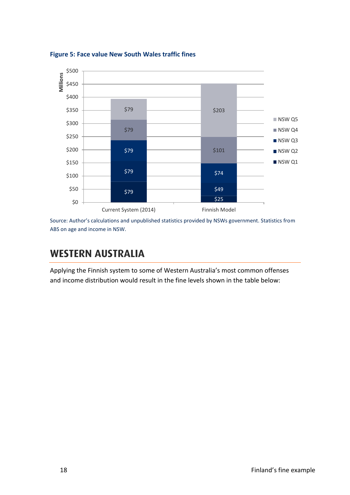

**Figure 5: Face value New South Wales traffic fines**

Source: Author's calculations and unpublished statistics provided by NSWs government. Statistics from ABS on age and income in NSW.

#### <span id="page-23-0"></span>**WESTERN AUSTRALIA** <u>WESTERN AUSTRALian Australian (</u>

Applying the Finnish system to some of Western Australia's most common offenses and income distribution would result in the fine levels shown in the table below: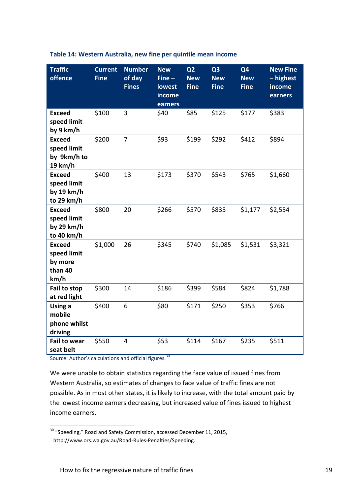| <b>Traffic</b><br>offence                                  | <b>Current</b><br><b>Fine</b> | <b>Number</b><br>of day<br><b>Fines</b> | <b>New</b><br>$Fine -$<br>lowest<br>income<br>earners | Q <sub>2</sub><br><b>New</b><br><b>Fine</b> | Q <sub>3</sub><br><b>New</b><br><b>Fine</b> | Q4<br><b>New</b><br><b>Fine</b> | <b>New Fine</b><br>- highest<br>income<br>earners |
|------------------------------------------------------------|-------------------------------|-----------------------------------------|-------------------------------------------------------|---------------------------------------------|---------------------------------------------|---------------------------------|---------------------------------------------------|
| <b>Exceed</b><br>speed limit<br>by 9 km/h                  | \$100                         | 3                                       | \$40                                                  | \$85                                        | \$125                                       | \$177                           | \$383                                             |
| <b>Exceed</b><br>speed limit<br>by 9km/h to<br>19 km/h     | \$200                         | $\overline{7}$                          | \$93                                                  | \$199                                       | \$292                                       | \$412                           | \$894                                             |
| <b>Exceed</b><br>speed limit<br>by 19 km/h<br>to 29 km/h   | \$400                         | 13                                      | \$173                                                 | \$370                                       | \$543                                       | \$765                           | \$1,660                                           |
| <b>Exceed</b><br>speed limit<br>by 29 km/h<br>to 40 km/h   | \$800                         | 20                                      | \$266                                                 | \$570                                       | \$835                                       | \$1,177                         | \$2,554                                           |
| <b>Exceed</b><br>speed limit<br>by more<br>than 40<br>km/h | \$1,000                       | 26                                      | \$345                                                 | \$740                                       | \$1,085                                     | \$1,531                         | \$3,321                                           |
| Fail to stop<br>at red light                               | \$300                         | 14                                      | \$186                                                 | \$399                                       | \$584                                       | \$824                           | \$1,788                                           |
| Using a<br>mobile<br>phone whilst<br>driving               | \$400                         | 6                                       | \$80                                                  | \$171                                       | \$250                                       | \$353                           | \$766                                             |
| <b>Fail to wear</b><br>seat belt                           | \$550                         | 4                                       | \$53                                                  | \$114                                       | \$167                                       | \$235                           | \$511                                             |

#### **Table 14: Western Australia, new fine per quintile mean income**

Source: Author's calculations and official figures.<sup>30</sup>

1

We were unable to obtain statistics regarding the face value of issued fines from Western Australia, so estimates of changes to face value of traffic fines are not possible. As in most other states, it is likely to increase, with the total amount paid by the lowest income earners decreasing, but increased value of fines issued to highest income earners.

 $30$  "Speeding," Road and Safety Commission, accessed December 11, 2015, http://www.ors.wa.gov.au/Road-Rules-Penalties/Speeding.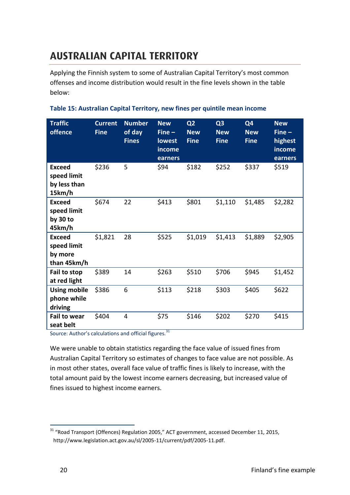## <span id="page-25-0"></span>**AUSTRALIAN CAPITAL TERRITORY AUSTRALIAN CAPITAL TERRITORY**

Applying the Finnish system to some of Australian Capital Territory's most common offenses and income distribution would result in the fine levels shown in the table below:

| <b>Traffic</b><br>offence                              | <b>Current</b><br><b>Fine</b> | <b>Number</b><br>of day<br><b>Fines</b> | <b>New</b><br>$Fine -$<br><b>lowest</b><br>income<br>earners | Q <sub>2</sub><br><b>New</b><br><b>Fine</b> | Q <sub>3</sub><br><b>New</b><br><b>Fine</b> | Q4<br><b>New</b><br><b>Fine</b> | <b>New</b><br>$Fine -$<br>highest<br>income<br>earners |
|--------------------------------------------------------|-------------------------------|-----------------------------------------|--------------------------------------------------------------|---------------------------------------------|---------------------------------------------|---------------------------------|--------------------------------------------------------|
| <b>Exceed</b><br>speed limit<br>by less than<br>15km/h | \$236                         | 5                                       | \$94                                                         | \$182                                       | \$252                                       | \$337                           | \$519                                                  |
| <b>Exceed</b><br>speed limit<br>by 30 to<br>45km/h     | \$674                         | 22                                      | \$413                                                        | \$801                                       | \$1,110                                     | \$1,485                         | \$2,282                                                |
| <b>Exceed</b><br>speed limit<br>by more<br>than 45km/h | \$1,821                       | 28                                      | \$525                                                        | \$1,019                                     | \$1,413                                     | \$1,889                         | \$2,905                                                |
| Fail to stop<br>at red light                           | \$389                         | 14                                      | \$263                                                        | \$510                                       | \$706                                       | \$945                           | \$1,452                                                |
| <b>Using mobile</b><br>phone while<br>driving          | \$386                         | 6                                       | \$113                                                        | \$218                                       | \$303                                       | \$405                           | \$622                                                  |
| <b>Fail to wear</b><br>seat belt                       | \$404                         | $\overline{4}$                          | \$75                                                         | \$146                                       | \$202                                       | \$270                           | \$415                                                  |

Source: Author's calculations and official figures.<sup>31</sup>

We were unable to obtain statistics regarding the face value of issued fines from Australian Capital Territory so estimates of changes to face value are not possible. As in most other states, overall face value of traffic fines is likely to increase, with the total amount paid by the lowest income earners decreasing, but increased value of fines issued to highest income earners.

 $31$  "Road Transport (Offences) Regulation 2005," ACT government, accessed December 11, 2015, http://www.legislation.act.gov.au/sl/2005-11/current/pdf/2005-11.pdf.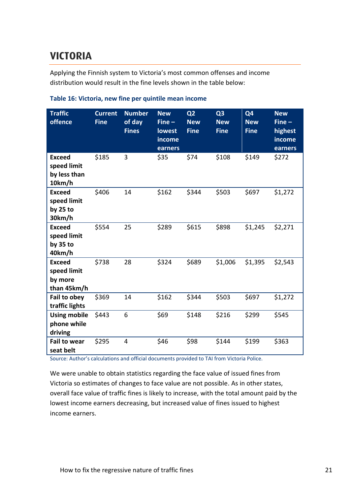## <span id="page-26-0"></span>**VICTORIA VICTORIA**

Applying the Finnish system to Victoria's most common offenses and income distribution would result in the fine levels shown in the table below:

| <b>Traffic</b><br>offence                              | <b>Current</b><br><b>Fine</b> | <b>Number</b><br>of day<br><b>Fines</b> | <b>New</b><br>$Fine -$<br>lowest<br>income<br>earners | Q <sub>2</sub><br><b>New</b><br><b>Fine</b> | Q <sub>3</sub><br><b>New</b><br><b>Fine</b> | Q <sub>4</sub><br><b>New</b><br><b>Fine</b> | <b>New</b><br>$Fine -$<br>highest<br>income<br>earners |
|--------------------------------------------------------|-------------------------------|-----------------------------------------|-------------------------------------------------------|---------------------------------------------|---------------------------------------------|---------------------------------------------|--------------------------------------------------------|
| <b>Exceed</b><br>speed limit<br>by less than<br>10km/h | \$185                         | 3                                       | \$35                                                  | \$74                                        | \$108                                       | \$149                                       | \$272                                                  |
| <b>Exceed</b><br>speed limit<br>by $25$ to<br>30km/h   | \$406                         | 14                                      | \$162                                                 | \$344                                       | \$503                                       | \$697                                       | \$1,272                                                |
| <b>Exceed</b><br>speed limit<br>by $35$ to<br>40km/h   | \$554                         | 25                                      | \$289                                                 | \$615                                       | \$898                                       | \$1,245                                     | \$2,271                                                |
| <b>Exceed</b><br>speed limit<br>by more<br>than 45km/h | \$738                         | 28                                      | \$324                                                 | \$689                                       | \$1,006                                     | \$1,395                                     | \$2,543                                                |
| Fail to obey<br>traffic lights                         | \$369                         | 14                                      | \$162                                                 | \$344                                       | \$503                                       | \$697                                       | \$1,272                                                |
| <b>Using mobile</b><br>phone while<br>driving          | \$443                         | 6                                       | \$69                                                  | \$148                                       | \$216                                       | \$299                                       | \$545                                                  |
| <b>Fail to wear</b><br>seat belt                       | \$295                         | $\overline{4}$                          | \$46                                                  | \$98                                        | \$144                                       | \$199                                       | \$363                                                  |

#### **Table 16: Victoria, new fine per quintile mean income**

Source: Author's calculations and official documents provided to TAI from Victoria Police.

We were unable to obtain statistics regarding the face value of issued fines from Victoria so estimates of changes to face value are not possible. As in other states, overall face value of traffic fines is likely to increase, with the total amount paid by the lowest income earners decreasing, but increased value of fines issued to highest income earners.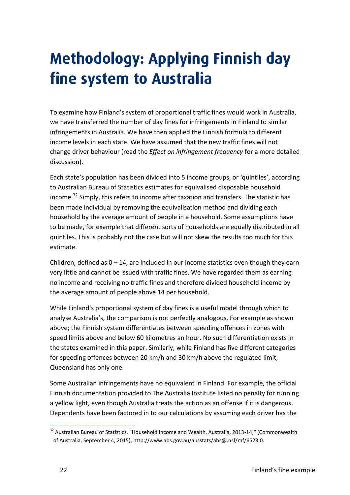# <span id="page-27-0"></span>**Methodology: Applying Finnish day fine system to Australia**

To examine how Finland's system of proportional traffic fines would work in Australia, we have transferred the number of day fines for infringements in Finland to similar infringements in Australia. We have then applied the Finnish formula to different income levels in each state. We have assumed that the new traffic fines will not change driver behaviour (read the *Effect on infringement frequency* for a more detailed discussion).

Each state's population has been divided into 5 income groups, or 'quintiles', according to Australian Bureau of Statistics estimates for equivalised disposable household income.<sup>32</sup> Simply, this refers to income after taxation and transfers. The statistic has been made individual by removing the equivalisation method and dividing each household by the average amount of people in a household. Some assumptions have to be made, for example that different sorts of households are equally distributed in all quintiles. This is probably not the case but will not skew the results too much for this estimate.

Children, defined as  $0 - 14$ , are included in our income statistics even though they earn very little and cannot be issued with traffic fines. We have regarded them as earning no income and receiving no traffic fines and therefore divided household income by the average amount of people above 14 per household.

While Finland's proportional system of day fines is a useful model through which to analyse Australia's, the comparison is not perfectly analogous. For example as shown above; the Finnish system differentiates between speeding offences in zones with speed limits above and below 60 kilometres an hour. No such differentiation exists in the states examined in this paper. Similarly, while Finland has five different categories for speeding offences between 20 km/h and 30 km/h above the regulated limit, Queensland has only one.

Some Australian infringements have no equivalent in Finland. For example, the official Finnish documentation provided to The Australia Institute listed no penalty for running a yellow light, even though Australia treats the action as an offense if it is dangerous. Dependents have been factored in to our calculations by assuming each driver has the

<sup>&</sup>lt;sup>32</sup> Australian Bureau of Statistics, "Household Income and Wealth, Australia, 2013-14," (Commonwealth of Australia, September 4, 2015), http://www.abs.gov.au/ausstats/abs@.nsf/mf/6523.0.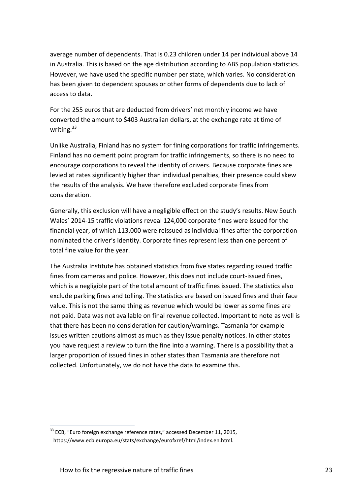average number of dependents. That is 0.23 children under 14 per individual above 14 in Australia. This is based on the age distribution according to ABS population statistics. However, we have used the specific number per state, which varies. No consideration has been given to dependent spouses or other forms of dependents due to lack of access to data.

For the 255 euros that are deducted from drivers' net monthly income we have converted the amount to \$403 Australian dollars, at the exchange rate at time of writing. $33$ 

Unlike Australia, Finland has no system for fining corporations for traffic infringements. Finland has no demerit point program for traffic infringements, so there is no need to encourage corporations to reveal the identity of drivers. Because corporate fines are levied at rates significantly higher than individual penalties, their presence could skew the results of the analysis. We have therefore excluded corporate fines from consideration.

Generally, this exclusion will have a negligible effect on the study's results. New South Wales' 2014-15 traffic violations reveal 124,000 corporate fines were issued for the financial year, of which 113,000 were reissued as individual fines after the corporation nominated the driver's identity. Corporate fines represent less than one percent of total fine value for the year.

The Australia Institute has obtained statistics from five states regarding issued traffic fines from cameras and police. However, this does not include court-issued fines, which is a negligible part of the total amount of traffic fines issued. The statistics also exclude parking fines and tolling. The statistics are based on issued fines and their face value. This is not the same thing as revenue which would be lower as some fines are not paid. Data was not available on final revenue collected. Important to note as well is that there has been no consideration for caution/warnings. Tasmania for example issues written cautions almost as much as they issue penalty notices. In other states you have request a review to turn the fine into a warning. There is a possibility that a larger proportion of issued fines in other states than Tasmania are therefore not collected. Unfortunately, we do not have the data to examine this.

<sup>&</sup>lt;sup>33</sup> ECB, "Euro foreign exchange reference rates," accessed December 11, 2015, https://www.ecb.europa.eu/stats/exchange/eurofxref/html/index.en.html.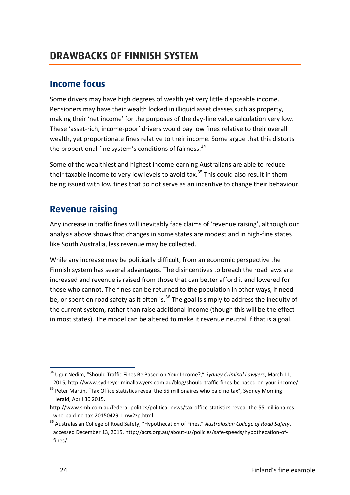### <span id="page-29-0"></span>**DRAWBACKS OF FINNISH SYSTEM DRAWBACKS OF FINNISH SYSTEM**

## <span id="page-29-1"></span>**Income focus**

**Income focus** Some drivers may have high degrees of wealth yet very little disposable income. Pensioners may have their wealth locked in illiquid asset classes such as property, making their 'net income' for the purposes of the day-fine value calculation very low. These 'asset-rich, income-poor' drivers would pay low fines relative to their overall wealth, yet proportionate fines relative to their income. Some argue that this distorts the proportional fine system's conditions of fairness.<sup>34</sup>

Some of the wealthiest and highest income-earning Australians are able to reduce their taxable income to very low levels to avoid tax.<sup>35</sup> This could also result in them being issued with low fines that do not serve as an incentive to change their behaviour.

## <span id="page-29-2"></span>**Revenue raising**

Any increase in traffic fines will inevitably face claims of 'revenue raising', although our analysis above shows that changes in some states are modest and in high-fine states like South Australia, less revenue may be collected.

While any increase may be politically difficult, from an economic perspective the Finnish system has several advantages. The disincentives to breach the road laws are increased and revenue is raised from those that can better afford it and lowered for those who cannot. The fines can be returned to the population in other ways, if need be, or spent on road safety as it often is.<sup>36</sup> The goal is simply to address the inequity of the current system, rather than raise additional income (though this will be the effect in most states). The model can be altered to make it revenue neutral if that is a goal.

<sup>34</sup> Ugur Nedim, "Should Traffic Fines Be Based on Your Income?," *Sydney Criminal Lawyers*, March 11, 2015, http://www.sydneycriminallawyers.com.au/blog/should-traffic-fines-be-based-on-your-income/.

<sup>&</sup>lt;sup>35</sup> Peter Martin, "Tax Office statistics reveal the 55 millionaires who paid no tax", Sydney Morning Herald, April 30 2015.

http://www.smh.com.au/federal-politics/political-news/tax-office-statistics-reveal-the-55-millionaireswho-paid-no-tax-20150429-1mw2zp.html

<sup>36</sup> Australasian College of Road Safety, "Hypothecation of Fines," *Australasian College of Road Safety*, accessed December 13, 2015, http://acrs.org.au/about-us/policies/safe-speeds/hypothecation-offines/.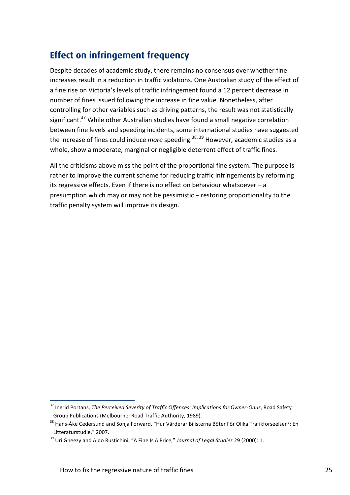## <span id="page-30-0"></span>**Effect on infringement frequency**

Despite decades of academic study, there remains no consensus over whether fine increases result in a reduction in traffic violations. One Australian study of the effect of a fine rise on Victoria's levels of traffic infringement found a 12 percent decrease in number of fines issued following the increase in fine value. Nonetheless, after controlling for other variables such as driving patterns, the result was not statistically significant.<sup>37</sup> While other Australian studies have found a small negative correlation between fine levels and speeding incidents, some international studies have suggested the increase of fines could induce *more* speeding.<sup>38, 39</sup> However, academic studies as a whole, show a moderate, marginal or negligible deterrent effect of traffic fines.

All the criticisms above miss the point of the proportional fine system. The purpose is rather to improve the current scheme for reducing traffic infringements by reforming its regressive effects. Even if there is no effect on behaviour whatsoever – a presumption which may or may not be pessimistic – restoring proportionality to the traffic penalty system will improve its design.

<sup>37</sup> Ingrid Portans, *The Perceived Severity of Traffic Offences: Implications for Owner-Onus*, Road Safety Group Publications (Melbourne: Road Traffic Authority, 1989).

<sup>&</sup>lt;sup>38</sup> Hans-Åke Cedersund and Sonja Forward, "Hur Värderar Bilisterna Böter För Olika Trafikförseelser?: En Litteraturstudie," 2007.

<sup>&</sup>lt;sup>39</sup> Uri Gneezy and Aldo Rustichini, "A Fine Is A Price," Journal of Legal Studies 29 (2000): 1.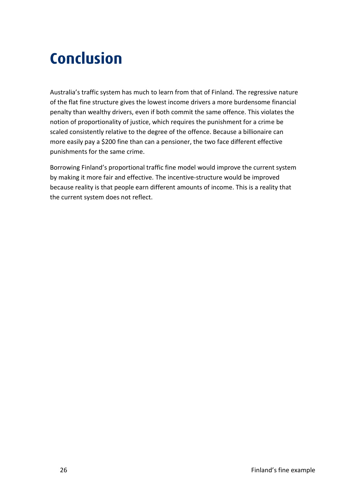## <span id="page-31-0"></span>**Conclusion Concerning**

Australia's traffic system has much to learn from that of Finland. The regressive nature of the flat fine structure gives the lowest income drivers a more burdensome financial penalty than wealthy drivers, even if both commit the same offence. This violates the notion of proportionality of justice, which requires the punishment for a crime be scaled consistently relative to the degree of the offence. Because a billionaire can more easily pay a \$200 fine than can a pensioner, the two face different effective punishments for the same crime.

Borrowing Finland's proportional traffic fine model would improve the current system by making it more fair and effective. The incentive-structure would be improved because reality is that people earn different amounts of income. This is a reality that the current system does not reflect.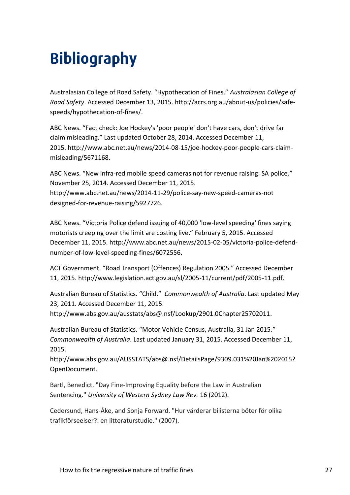## <span id="page-32-0"></span>**Bibliography**

Australasian College of Road Safety. "Hypothecation of Fines." *Australasian College of Road Safety*. Accessed December 13, 2015. http://acrs.org.au/about-us/policies/safespeeds/hypothecation-of-fines/.

ABC News. "Fact check: Joe Hockey's 'poor people' don't have cars, don't drive far claim misleading." Last updated October 28, 2014. Accessed December 11, 2015. http://www.abc.net.au/news/2014-08-15/joe-hockey-poor-people-cars-claimmisleading/5671168.

ABC News. "New infra-red mobile speed cameras not for revenue raising: SA police." November 25, 2014. Accessed December 11, 2015. http://www.abc.net.au/news/2014-11-29/police-say-new-speed-cameras-not designed-for-revenue-raising/5927726.

ABC News. "Victoria Police defend issuing of 40,000 'low-level speeding' fines saying motorists creeping over the limit are costing live." February 5, 2015. Accessed December 11, 2015. http://www.abc.net.au/news/2015-02-05/victoria-police-defendnumber-of-low-level-speeding-fines/6072556.

ACT Government. "Road Transport (Offences) Regulation 2005." Accessed December 11, 2015. http://www.legislation.act.gov.au/sl/2005-11/current/pdf/2005-11.pdf.

Australian Bureau of Statistics. "Child." *Commonwealth of Australia*. Last updated May 23, 2011. Accessed December 11, 2015.

http://www.abs.gov.au/ausstats/abs@.nsf/Lookup/2901.0Chapter25702011.

Australian Bureau of Statistics. "Motor Vehicle Census, Australia, 31 Jan 2015." *Commonwealth of Australia*. Last updated January 31, 2015. Accessed December 11, 2015.

http://www.abs.gov.au/AUSSTATS/abs@.nsf/DetailsPage/9309.031%20Jan%202015? OpenDocument.

Bartl, Benedict. "Day Fine-Improving Equality before the Law in Australian Sentencing." *University of Western Sydney Law Rev.* 16 (2012).

Cedersund, Hans-Åke, and Sonja Forward. "Hur värderar bilisterna böter för olika trafikförseelser?: en litteraturstudie." (2007).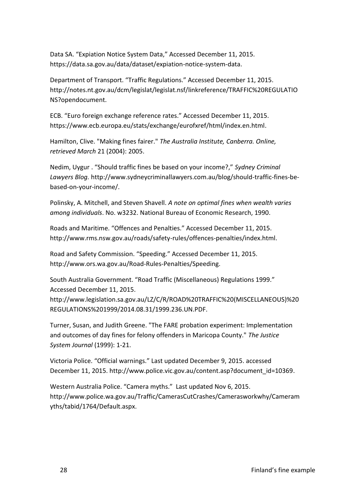Data SA. "Expiation Notice System Data," Accessed December 11, 2015. https://data.sa.gov.au/data/dataset/expiation-notice-system-data.

Department of Transport. "Traffic Regulations." Accessed December 11, 2015. http://notes.nt.gov.au/dcm/legislat/legislat.nsf/linkreference/TRAFFIC%20REGULATIO NS?opendocument.

ECB. "Euro foreign exchange reference rates." Accessed December 11, 2015. https://www.ecb.europa.eu/stats/exchange/eurofxref/html/index.en.html.

Hamilton, Clive. "Making fines fairer." *The Australia Institute, Canberra. Online, retrieved March* 21 (2004): 2005.

Nedim, Uygur . "Should traffic fines be based on your income?," *Sydney Criminal Lawyers Blog.* http://www.sydneycriminallawyers.com.au/blog/should-traffic-fines-bebased-on-your-income/.

Polinsky, A. Mitchell, and Steven Shavell. *A note on optimal fines when wealth varies among individuals*. No. w3232. National Bureau of Economic Research, 1990.

Roads and Maritime. "Offences and Penalties." Accessed December 11, 2015. http://www.rms.nsw.gov.au/roads/safety-rules/offences-penalties/index.html.

Road and Safety Commission. "Speeding." Accessed December 11, 2015. http://www.ors.wa.gov.au/Road-Rules-Penalties/Speeding.

South Australia Government. "Road Traffic (Miscellaneous) Regulations 1999." Accessed December 11, 2015.

http://www.legislation.sa.gov.au/LZ/C/R/ROAD%20TRAFFIC%20(MISCELLANEOUS)%20 REGULATIONS%201999/2014.08.31/1999.236.UN.PDF.

Turner, Susan, and Judith Greene. "The FARE probation experiment: Implementation and outcomes of day fines for felony offenders in Maricopa County." *The Justice System Journal* (1999): 1-21.

Victoria Police. "Official warnings." Last updated December 9, 2015. accessed December 11, 2015. http://www.police.vic.gov.au/content.asp?document\_id=10369.

Western Australia Police. "Camera myths." Last updated Nov 6, 2015. http://www.police.wa.gov.au/Traffic/CamerasCutCrashes/Camerasworkwhy/Cameram yths/tabid/1764/Default.aspx.